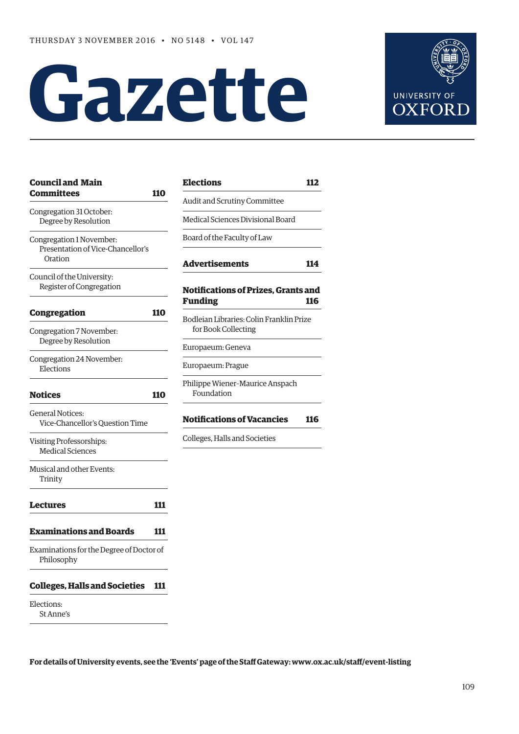# **Gazette**



| <b>Council and Main</b><br><b>Committees</b>                             | 110 |
|--------------------------------------------------------------------------|-----|
| Congregation 31 October:<br>Degree by Resolution                         |     |
| Congregation 1 November:<br>Presentation of Vice-Chancellor's<br>Oration |     |
| Council of the University:<br>Register of Congregation                   |     |
| Congregation                                                             | 110 |
| Congregation 7 November:<br>Degree by Resolution                         |     |
| Congregation 24 November:<br>Elections                                   |     |
| <b>Notices</b>                                                           | 110 |
| <b>General Notices:</b><br>Vice-Chancellor's Question Time               |     |
| Visiting Professorships:<br><b>Medical Sciences</b>                      |     |
| Musical and other Events:<br>Trinity                                     |     |
| Lectures                                                                 | 111 |
| Examinations and Boards                                                  | 111 |
| Examinations for the Degree of Doctor of<br>Philosophy                   |     |
| <b>Colleges, Halls and Societies</b>                                     | 111 |
| Elections:                                                               |     |

St Anne's

**[Elections](#page-3-0) 112** Audit and Scrutiny Committee Medical Sciences Divisional Board Board of the Faculty of Law **[Advertisements](#page-5-0) 114 [Notifications of Prizes, Grants and](#page-7-0)  Funding 116** Bodleian Libraries: Colin Franklin Prize for Book Collecting Europaeum: Geneva Europaeum: Prague Philippe Wiener–Maurice Anspach Foundation **[Notifications of Vacancies 116](#page-7-0)** Colleges, Halls and Societies

**For details of University events, see the 'Events' page of the Staff Gateway: [www.ox.ac.uk/staff/event-listing](http://www.ox.ac.uk/staff/event-listing)**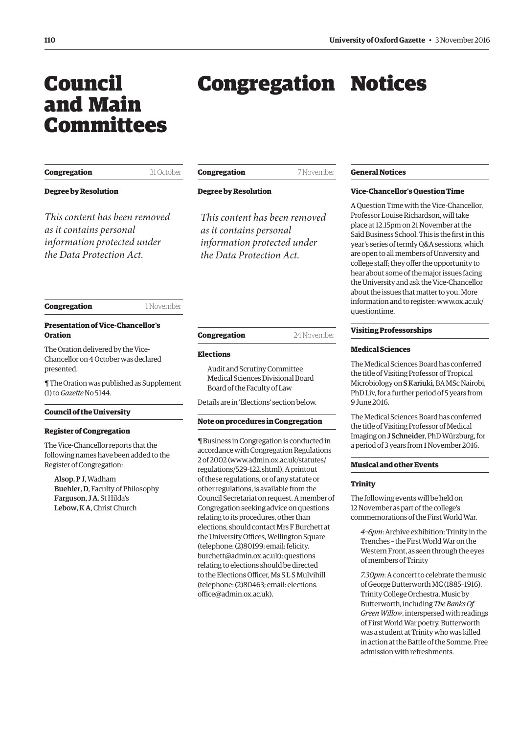# <span id="page-1-0"></span>Council and Main Committees

# Congregation Notices

| Congregation |  |
|--------------|--|
|              |  |

**Degree by Resolution**

*This content has been removed as it contains personal information protected under the Data Protection Act.*

| Congregation | 7 November |
|--------------|------------|
|              |            |

**Degree by Resolution**

*This content has been removed as it contains personal information protected under the Data Protection Act.*

### **Congregation** 1 November

31 October

### **Presentation of Vice-Chancellor's Oration**

The Oration delivered by the Vice-Chancellor on 4 October was declared presented.

[¶ The Oration was published as Supplement](http://www.ox.ac.uk/gazette/2016-2017/13october2016-no5145/supplements/)  (1) to *Gazette* No 5144.

### **Council of the University**

### **Register of Congregation**

The Vice-Chancellor reports that the following names have been added to the Register of Congregation:

Alsop, P J, Wadham Buehler, D, Faculty of Philosophy Farguson, J A, St Hilda's Lebow, K A, Christ Church

| Congregation | 24 November |
|--------------|-------------|
|              |             |

### **Elections**

Audit and Scrutiny Committee Medical Sciences Divisional Board Board of the Faculty of Law

Details are in ['Elections'](#page-3-0) section below.

### **Note on procedures in Congregation**

¶ Business in Congregation is conducted in accordance with Congregation Regulations 2 of 2002 [\(www.admin.ox.ac.uk/statutes/](http://www.admin.ox.ac.uk/statutes/regulations/529-122.shtml) [regulations/529-122.shtml\). A p](http://www.admin.ox.ac.uk/statutes/regulations/529-122.shtml)rintout of these regulations, or of any statute or other regulations, is available from the Council Secretariat on request. A member of Congregation seeking advice on questions relating to its procedures, other than elections, should contact Mrs F Burchett at the University Offices, Wellington Square (telephone: (2)80199; email: felicity. [burchett@admin.ox.ac.uk\); questions](mailto:felicity.burchett@admin.ox.ac.uk)  relating to elections should be directed to the Elections Officer, Ms S L S Mulvihill [\(telephone: \(2\)80463; email: elections.](mailto:elections.office@admin.ox.ac.uk) office@admin.ox.ac.uk).

### **General Notices**

### **Vice-Chancellor's Question Time**

A Question Time with the Vice-Chancellor, Professor Louise Richardson, will take place at 12.15pm on 21 November at the Saïd Business School. This is the first in this year's series of termly Q&A sessions, which are open to all members of University and college staff; they offer the opportunity to hear about some of the major issues facing the University and ask the Vice-Chancellor about the issues that matter to you. More [information and to register: www.ox.ac.uk/](www.ox.ac.uk/questiontime) questiontime.

### **Visiting Professorships**

### **Medical Sciences**

The Medical Sciences Board has conferred the title of Visiting Professor of Tropical Microbiology on S Kariuki, BA MSc Nairobi, PhD Liv, for a further period of 5 years from 9 June 2016.

The Medical Sciences Board has conferred the title of Visiting Professor of Medical Imaging on J Schneider, PhD Würzburg, for a period of 3 years from 1 November 2016.

### **Musical and other Events**

### **Trinity**

The following events will be held on 12 November as part of the college's commemorations of the First World War.

*4–6pm*: Archive exhibition: Trinity in the Trenches – the First World War on the Western Front, as seen through the eyes of members of Trinity

*7.30pm*: A concert to celebrate the music of George Butterworth MC (1885–1916), Trinity College Orchestra. Music by Butterworth, including *The Banks Of Green Willow*, interspersed with readings of First World War poetry. Butterworth was a student at Trinity who was killed in action at the Battle of the Somme. Free admission with refreshments.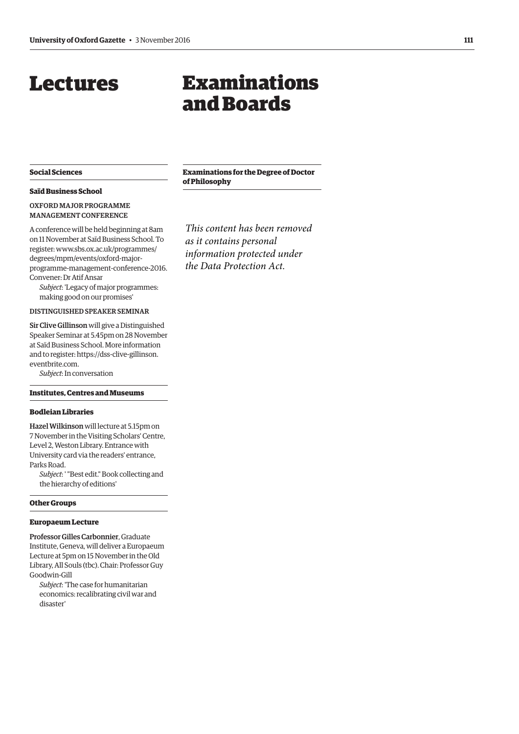### <span id="page-2-0"></span>Lectures

# Examinations and Boards

### **Social Sciences**

### **Saïd Business School**

### OXFORD MAJOR PROGRAMME MANAGEMENT CONFERENCE

A conference will be held beginning at 8am on 11 November at Saïd Business School. To register: www.sbs.ox.ac.uk/programmes/ degrees/mpm/events/oxford-major[programme-management-conference-2016.](www.sbs.ox.ac.uk/programmes/degrees/mpm/events/oxford-major-programme-management-conference-2016)  Convener: Dr Atif Ansar

*Subject*: 'Legacy of major programmes: making good on our promises'

### DISTINGUISHED SPEAKER SEMINAR

Sir Clive Gillinson will give a Distinguished Speaker Seminar at 5.45pm on 28 November at Saïd Business School. More information [and to register: https://dss-clive-gillinson.](https://dss-clive-gillinson.eventbrite.com) eventbrite.com.

*Subject*: In conversation

### **Institutes, Centres and Museums**

### **Bodleian Libraries**

Hazel Wilkinson will lecture at 5.15pm on 7 November in the Visiting Scholars' Centre, Level 2, Weston Library. Entrance with University card via the readers' entrance, Parks Road.

*Subject*: ' "Best edit." Book collecting and the hierarchy of editions'

### **Other Groups**

### **Europaeum Lecture**

Professor Gilles Carbonnier, Graduate Institute, Geneva, will deliver a Europaeum Lecture at 5pm on 15 November in the Old Library, All Souls (tbc). Chair: Professor Guy Goodwin-Gill

*Subject*: 'The case for humanitarian economics: recalibrating civil war and disaster'

**Examinations for the Degree of Doctor of Philosophy**

*This content has been removed as it contains personal information protected under the Data Protection Act.*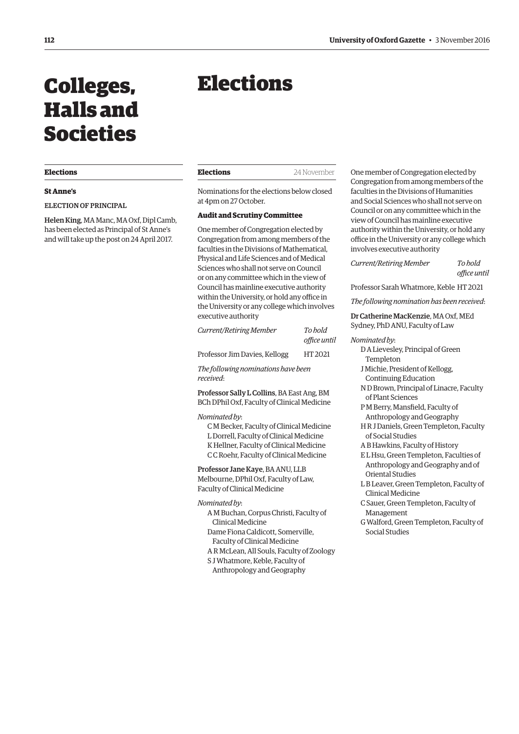# <span id="page-3-0"></span>Colleges, Halls and Societies

### **Elections**

### **St Anne's**

ELECTION OF PRINCIPAL

Helen King, MA Manc, MA Oxf, Dipl Camb, has been elected as Principal of St Anne's and will take up the post on 24 April 2017.

# Elections

Nominations for the elections below closed at 4pm on 27 October.

### **Audit and Scrutiny Committee**

One member of Congregation elected by Congregation from among members of the faculties in the Divisions of Mathematical, Physical and Life Sciences and of Medical Sciences who shall not serve on Council or on any committee which in the view of Council has mainline executive authority within the University, or hold any office in the University or any college which involves executive authority

| Current/Retiring Member       | To bold<br>office until |
|-------------------------------|-------------------------|
| Professor Jim Davies, Kellogg | HT 2021                 |

*The following nominations have been received*:

Professor Sally L Collins, BA East Ang, BM BCh DPhil Oxf, Faculty of Clinical Medicine

### *Nominated by*:

C M Becker, Faculty of Clinical Medicine L Dorrell, Faculty of Clinical Medicine K Hellner, Faculty of Clinical Medicine C C Roehr, Faculty of Clinical Medicine

Professor Jane Kaye, BA ANU, LLB Melbourne, DPhil Oxf, Faculty of Law, Faculty of Clinical Medicine

### *Nominated by*:

- A M Buchan, Corpus Christi, Faculty of Clinical Medicine Dame Fiona Caldicott, Somerville,
- Faculty of Clinical Medicine
- A R McLean, All Souls, Faculty of Zoology S J Whatmore, Keble, Faculty of
- Anthropology and Geography

One member of Congregation elected by Congregation from among members of the faculties in the Divisions of Humanities and Social Sciences who shall not serve on Council or on any committee which in the view of Council has mainline executive authority within the University, or hold any office in the University or any college which involves executive authority

*Current/Retiring Member To hold* 

*office until* 

Professor Sarah Whatmore, Keble HT 2021

*The following nomination has been received*:

Dr Catherine MacKenzie, MA Oxf, MEd Sydney, PhD ANU, Faculty of Law

### *Nominated by*:

- D A Lievesley, Principal of Green Templeton
- J Michie, President of Kellogg, Continuing Education
- N D Brown, Principal of Linacre, Faculty of Plant Sciences
- P M Berry, Mansfield, Faculty of Anthropology and Geography
- H R J Daniels, Green Templeton, Faculty of Social Studies
- A B Hawkins, Faculty of History
- E L Hsu, Green Templeton, Faculties of Anthropology and Geography and of Oriental Studies
- L B Leaver, Green Templeton, Faculty of Clinical Medicine
- C Sauer, Green Templeton, Faculty of Management
- G Walford, Green Templeton, Faculty of Social Studies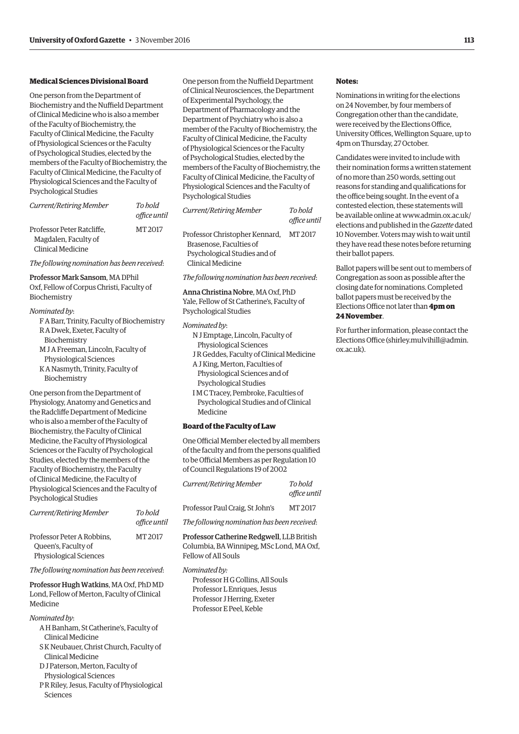### **Medical Sciences Divisional Board**

One person from the Department of Biochemistry and the Nuffield Department of Clinical Medicine who is also a member of the Faculty of Biochemistry, the Faculty of Clinical Medicine, the Faculty of Physiological Sciences or the Faculty of Psychological Studies, elected by the members of the Faculty of Biochemistry, the Faculty of Clinical Medicine, the Faculty of Physiological Sciences and the Faculty of Psychological Studies

| Current/Retiring Member    | To hold<br>office until |
|----------------------------|-------------------------|
| Professor Peter Ratcliffe, | MT 2017                 |
| Magdalen, Faculty of       |                         |
| Clinical Medicine          |                         |

*The following nomination has been received*:

### Professor Mark Sansom, MA DPhil

Oxf, Fellow of Corpus Christi, Faculty of Biochemistry

### *Nominated by*:

| F A Barr, Trinity, Faculty of Biochemistry |
|--------------------------------------------|
| R A Dwek, Exeter, Faculty of               |
| Biochemistry                               |
| M J A Freeman, Lincoln, Faculty of         |
| Physiological Sciences                     |
| K A Nasmyth, Trinity, Faculty of           |
| Biochemistry                               |
|                                            |

One person from the Department of Physiology, Anatomy and Genetics and the Radcliffe Department of Medicine who is also a member of the Faculty of Biochemistry, the Faculty of Clinical Medicine, the Faculty of Physiological Sciences or the Faculty of Psychological Studies, elected by the members of the Faculty of Biochemistry, the Faculty of Clinical Medicine, the Faculty of Physiological Sciences and the Faculty of Psychological Studies

| Current/Retiring Member                           | To hold<br>office until |
|---------------------------------------------------|-------------------------|
| Professor Peter A Robbins.<br>Queen's, Faculty of | MT 2017                 |
| Physiological Sciences                            |                         |

*The following nomination has been received*:

Professor Hugh Watkins, MA Oxf, PhD MD Lond, Fellow of Merton, Faculty of Clinical Medicine

*Nominated by*:

- A H Banham, St Catherine's, Faculty of Clinical Medicine
- S K Neubauer, Christ Church, Faculty of Clinical Medicine
- D J Paterson, Merton, Faculty of
- Physiological Sciences
- P R Riley, Jesus, Faculty of Physiological Sciences

One person from the Nuffield Department of Clinical Neurosciences, the Department of Experimental Psychology, the Department of Pharmacology and the Department of Psychiatry who is also a member of the Faculty of Biochemistry, the Faculty of Clinical Medicine, the Faculty of Physiological Sciences or the Faculty of Psychological Studies, elected by the members of the Faculty of Biochemistry, the Faculty of Clinical Medicine, the Faculty of Physiological Sciences and the Faculty of Psychological Studies

| Current/Retiring Member        | To hold<br>office until |
|--------------------------------|-------------------------|
| Professor Christopher Kennard, | MT 2017                 |
| Brasenose. Faculties of        |                         |
| Psychological Studies and of   |                         |
| Clinical Medicine              |                         |

*The following nomination has been received*:

### Anna Christina Nobre, MA Oxf, PhD Yale, Fellow of St Catherine's, Faculty of Psychological Studies

### *Nominated by*:

- N J Emptage, Lincoln, Faculty of Physiological Sciences
- J R Geddes, Faculty of Clinical Medicine
- A J King, Merton, Faculties of
- Physiological Sciences and of Psychological Studies
- 
- I M C Tracey, Pembroke, Faculties of Psychological Studies and of Clinical Medicine

### **Board of the Faculty of Law**

One Official Member elected by all members of the faculty and from the persons qualified to be Official Members as per Regulation 10 of Council Regulations 19 of 2002

| Current/Retiring Member         | To hold<br>office until |
|---------------------------------|-------------------------|
| Professor Paul Craig, St John's | MT 2017                 |
|                                 |                         |

*The following nomination has been received*:

Professor Catherine Redgwell, LLB British Columbia, BA Winnipeg, MSc Lond, MA Oxf, Fellow of All Souls

### *Nominated by:*

Professor H G Collins, All Souls Professor L Enriques, Jesus Professor J Herring, Exeter Professor E Peel, Keble

### **Notes:**

Nominations in writing for the elections on 24 November, by four members of Congregation other than the candidate, were received by the Elections Office, University Offices, Wellington Square, up to 4pm on Thursday, 27 October.

Candidates were invited to include with their nomination forms a written statement of no more than 250 words, setting out reasons for standing and qualifications for the office being sought. In the event of a contested election, these statements will [be available online at www.admin.ox.ac.uk/](www.admin.ox.ac.uk/elections) elections and published in the *Gazette* dated 10 November. Voters may wish to wait until they have read these notes before returning their ballot papers.

Ballot papers will be sent out to members of Congregation as soon as possible after the closing date for nominations. Completed ballot papers must be received by the Elections Office not later than **4pm on 24 November**.

For further information, please contact the Elections Office [\(shirley.mulvihill@admin.](mailto:shirley.mulvihill@admin.ox.ac.uk) [ox.ac.uk\).](mailto:shirley.mulvihill@admin.ox.ac.uk)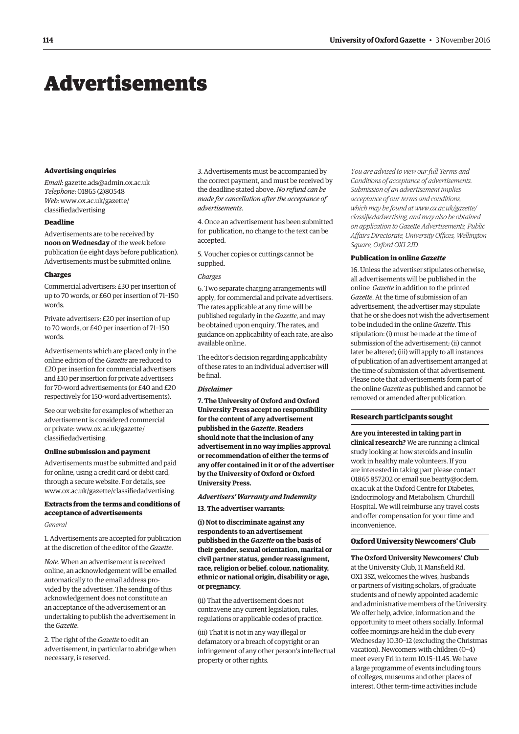### <span id="page-5-0"></span>Advertisements

### **Advertising enquiries**

*Email*: [gazette.ads@admin.ox.ac.uk](mailto:gazette.ads@admin.ox.ac.uk) *Telephone*: 01865 (2)80548 *Web*[: www.ox.ac.uk/gazette/](www.ox.ac.uk/gazette/classifiedadvertising) classifiedadvertising

### **Deadline**

Advertisements are to be received by **noon on Wednesday** of the week before publication (ie eight days before publication). Advertisements must be submitted online.

### **Charges**

Commercial advertisers: £30 per insertion of up to 70 words, or £60 per insertion of 71–150 words.

Private advertisers: £20 per insertion of up to 70 words, or £40 per insertion of 71–150 words.

Advertisements which are placed only in the online edition of the *Gazette* are reduced to £20 per insertion for commercial advertisers and £10 per insertion for private advertisers for 70-word advertisements (or £40 and £20 respectively for 150-word advertisements).

See our website for examples of whether an advertisement is considered commercial [or private: www.ox.ac.uk/gazette/](www.ox.ac.uk/gazette/classifiedadvertising) classifiedadvertising.

### **Online submission and payment**

Advertisements must be submitted and paid for online, using a credit card or debit card, through a secure website. For details, see [www.ox.ac.uk/gazette/classifiedadvertising.](http://www.ox.ac.uk/gazette/classifiedadvertising)

### **Extracts from the terms and conditions of acceptance of advertisements**

### *General*

1. Advertisements are accepted for publication at the discretion of the editor of the *Gazette*.

*Note*. When an advertisement is received online, an acknowledgement will be emailed automatically to the email address provided by the advertiser. The sending of this acknowledgement does not constitute an an acceptance of the advertisement or an undertaking to publish the advertisement in the *Gazette*.

2. The right of the *Gazette* to edit an advertisement, in particular to abridge when necessary, is reserved.

3. Advertisements must be accompanied by the correct payment, and must be received by the deadline stated above. *No refund can be made for cancellation after the acceptance of advertisements*.

4. Once an advertisement has been submitted for publication, no change to the text can be accepted.

5. Voucher copies or cuttings cannot be supplied.

### *Charges*

6. Two separate charging arrangements will apply, for commercial and private advertisers. The rates applicable at any time will be published regularly in the *Gazette*, and may be obtained upon enquiry. The rates, and guidance on applicability of each rate, are also available online.

The editor's decision regarding applicability of these rates to an individual advertiser will be final.

### *Disclaimer*

**7. The University of Oxford and Oxford University Press accept no responsibility for the content of any advertisement published in the** *Gazette***. Readers should note that the inclusion of any advertisement in no way implies approval or recommendation of either the terms of any offer contained in it or of the advertiser by the University of Oxford or Oxford University Press.**

#### *Advertisers' Warranty and Indemnity*

**13. The advertiser warrants:**

**(i) Not to discriminate against any respondents to an advertisement published in the** *Gazette* **on the basis of their gender, sexual orientation, marital or civil partner status, gender reassignment, race, religion or belief, colour, nationality, ethnic or national origin, disability or age, or pregnancy.**

(ii) That the advertisement does not contravene any current legislation, rules, regulations or applicable codes of practice.

(iii) That it is not in any way illegal or defamatory or a breach of copyright or an infringement of any other person's intellectual property or other rights.

*You are advised to view our full Terms and Conditions of acceptance of advertisements. Submission of an advertisement implies acceptance of our terms and conditions, which may be found at www.ox.ac.uk/gazette/ [classifiedadvertising, and may also be obtained](www.ox.ac.uk/gazette/classifiedadvertising)  on application to Gazette Advertisements, Public Affairs Directorate, University Offices, Wellington Square, Oxford OX1 2JD.*

### **Publication in online** *Gazette*

16. Unless the advertiser stipulates otherwise, all advertisements will be published in the online *Gazette* in addition to the printed *Gazette*. At the time of submission of an advertisement, the advertiser may stipulate that he or she does not wish the advertisement to be included in the online *Gazette*. This stipulation: (i) must be made at the time of submission of the advertisement; (ii) cannot later be altered; (iii) will apply to all instances of publication of an advertisement arranged at the time of submission of that advertisement. Please note that advertisements form part of the online *Gazette* as published and cannot be removed or amended after publication.

### **Research participants sought**

**Are you interested in taking part in clinical research?** We are running a clinical study looking at how steroids and insulin work in healthy male volunteers. If you are interested in taking part please contact [01865 857202 or email sue.beatty@ocdem.](mailto:sue.beatty@ocdem.ox.ac.uk) ox.ac.uk at the Oxford Centre for Diabetes, Endocrinology and Metabolism, Churchill Hospital. We will reimburse any travel costs and offer compensation for your time and inconvenience.

### **Oxford University Newcomers' Club**

**The Oxford University Newcomers' Club** at the University Club, 11 Mansfield Rd, OX1 3SZ, welcomes the wives, husbands or partners of visiting scholars, of graduate students and of newly appointed academic and administrative members of the University. We offer help, advice, information and the opportunity to meet others socially. Informal coffee mornings are held in the club every Wednesday 10.30–12 (excluding the Christmas vacation). Newcomers with children (0–4) meet every Fri in term 10.15–11.45. We have a large programme of events including tours of colleges, museums and other places of interest. Other term-time activities include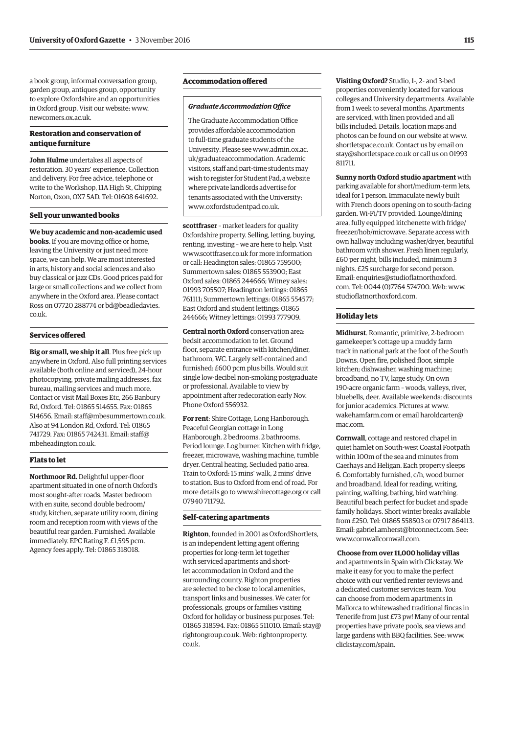a book group, informal conversation group, garden group, antiques group, opportunity to explore Oxfordshire and an opportunities in Oxford group. Visit our website: [www.](http://www.newcomers.ox.ac.uk) [newcomers.ox.ac.uk.](http://www.newcomers.ox.ac.uk)

### **Restoration and conservation of antique furniture**

**John Hulme** undertakes all aspects of restoration. 30 years' experience. Collection and delivery. For free advice, telephone or write to the Workshop, 11A High St, Chipping Norton, Oxon, OX7 5AD. Tel: 01608 641692.

### **Sell your unwanted books**

**We buy academic and non-academic used books**. If you are moving office or home, leaving the University or just need more space, we can help. We are most interested in arts, history and social sciences and also buy classical or jazz CDs. Good prices paid for large or small collections and we collect from anywhere in the Oxford area. Please contact [Ross on 07720 288774 or bd@beadledavies.](mailto:bd@beadledavies.co.uk) co.uk.

### **Services offered**

**Big or small, we ship it all**. Plus free pick up anywhere in Oxford. Also full printing services available (both online and serviced), 24-hour photocopying, private mailing addresses, fax bureau, mailing services and much more. Contact or visit Mail Boxes Etc, 266 Banbury Rd, Oxford. Tel: 01865 514655. Fax: 01865 514656. Email: [staff@mbesummertown.co.uk.](mailto:staff@mbesummertown.co.uk)  Also at 94 London Rd, Oxford. Tel: 01865 [741729. Fax: 01865 742431. Email: staff@](mailto:staff@mbeheadington.co.uk) mbeheadington.co.uk.

### **Flats to let**

**Northmoor Rd.** Delightful upper-floor apartment situated in one of north Oxford's most sought-after roads. Master bedroom with en suite, second double bedroom/ study, kitchen, separate utility room, dining room and reception room with views of the beautiful rear garden. Furnished. Available immediately. EPC Rating F. £1,595 pcm. Agency fees apply. Tel: 01865 318018.

### **Accommodation offered**

### *Graduate Accommodation Office*

The Graduate Accommodation Office provides affordable accommodation to full-time graduate students of the [University. Please see www.admin.ox.ac.](www.admin.ox.ac.uk/graduateaccommodation) uk/graduateaccommodation. Academic visitors, staff and part-time students may wish to register for Student Pad, a website where private landlords advertise for tenants associated with the University: [www.oxfordstudentpad.co.uk.](http://www.oxfordstudentpad.co.uk)

**scottfraser** – market leaders for quality Oxfordshire property. Selling, letting, buying, renting, investing – we are here to help. Visit [www.scottfraser.co.uk fo](http://www.scottfraser.co.uk)r more information or call: Headington sales: 01865 759500; Summertown sales: 01865 553900; East Oxford sales: 01865 244666; Witney sales: 01993 705507; Headington lettings: 01865 761111; Summertown lettings: 01865 554577; East Oxford and student lettings: 01865 244666; Witney lettings: 01993 777909.

**Central north Oxford** conservation area: bedsit accommodation to let. Ground floor, separate entrance with kitchen/diner, bathroom, WC. Largely self-contained and furnished: £600 pcm plus bills. Would suit single low-decibel non-smoking postgraduate or professional. Available to view by appointment after redecoration early Nov. Phone Oxford 556932.

**For rent**: Shire Cottage, Long Hanborough. Peaceful Georgian cottage in Long Hanborough. 2 bedrooms. 2 bathrooms. Period lounge. Log burner. Kitchen with fridge, freezer, microwave, washing machine, tumble dryer. Central heating. Secluded patio area. Train to Oxford: 15 mins' walk, 2 mins' drive to station. Bus to Oxford from end of road. For more details go to [www.shirecottage.org or](http://www.shirecottage.org) call 07940 711792.

### **Self-catering apartments**

**Righton**, founded in 2001 as OxfordShortlets, is an independent letting agent offering properties for long-term let together with serviced apartments and shortlet accommodation in Oxford and the surrounding county. Righton properties are selected to be close to local amenities, transport links and businesses. We cater for professionals, groups or families visiting Oxford for holiday or business purposes. Tel: 01865 318594. Fax: 01865 51[1010. Email: stay@](mailto:stay@rightongroup.co.uk) rightongroup.co.uk. [Web: rightonproperty.](www.rightonproperty.co.uk) co.uk.

**Visiting Oxford?** Studio, 1-, 2- and 3-bed properties conveniently located for various colleges and University departments. Available from 1 week to several months. Apartments are serviced, with linen provided and all bills included. Details, location maps and photos can be found on our website at [www.](http://www.shortletspace.co.uk) [shortletspace.co.uk. Co](http://www.shortletspace.co.uk)ntact us by email on [stay@shortletspace.co.uk or](mailto:stay@shortletspace.co.uk) call us on 01993 811711.

**Sunny north Oxford studio apartment** with parking available for short/medium-term lets, ideal for 1 person. Immaculate newly built with French doors opening on to south-facing garden. Wi-Fi/TV provided. Lounge/dining area, fully equipped kitchenette with fridge/ freezer/hob/microwave. Separate access with own hallway including washer/dryer, beautiful bathroom with shower. Fresh linen regularly, £60 per night, bills included, minimum 3 nights. £25 surcharge for second person. E[mail: enquiries@studioflatnorthoxford.](mailto:enquiries@studioflatnorthoxford.com) com. Tel: 0044 (0)7764 574700. Web: [www.](http://www.studioflatnorthoxford.com) [studioflatnorthoxford.com.](http://www.studioflatnorthoxford.com)

### **Holiday lets**

**Midhurst**. Romantic, primitive, 2-bedroom gamekeeper's cottage up a muddy farm track in national park at the foot of the South Downs. Open fire, polished floor, simple kitchen; dishwasher, washing machine; broadband, no TV, large study. On own 190-acre organic farm – woods, valleys, river, bluebells, deer. Available weekends; discounts for junior academics. Pictures at [www.](http://www.wakehamfarm.com) [wakehamfarm.com or](http://www.wakehamfarm.com) [email haroldcarter@](mailto:haroldcarter@mac.com) mac.com.

**Cornwall**, cottage and restored chapel in quiet hamlet on South-west Coastal Footpath within 100m of the sea and minutes from Caerhays and Heligan. Each property sleeps 6. Comfortably furnished, c/h, wood burner and broadband. Ideal for reading, writing, painting, walking, bathing, bird watching. Beautiful beach perfect for bucket and spade family holidays. Short winter breaks available from £250. Tel: 01865 558503 or 07917 864113. Email: [gabriel.amherst@btconnect.com. Se](mailto:gabriel.amherst@btconnect.com)e: [www.cornwallcornwall.com.](http://www.cornwallcornwall.com)

### **Choose from over 11,000 holiday villas**

and apartments in Spain with Clickstay. We make it easy for you to make the perfect choice with our verified renter reviews and a dedicated customer services team. You can choose from modern apartments in Mallorca to whitewashed traditional fincas in Tenerife from just £73 pw! Many of our rental properties have private pools, sea views and large gardens with BBQ facilities. See: [www.](http://www.clickstay.com/spain) [clickstay.com/spain.](http://www.clickstay.com/spain)